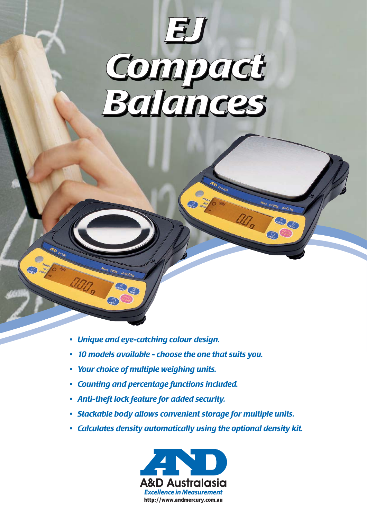

 $\frac{1}{2}$  6100g d=0.1g

GAMBLE CRIME

ang

• Unique and eye-catching colour design.

 $d = 0.01$ 

- 10 models available choose the one that suits you.
- Your choice of multiple weighing units.
- Counting and percentage functions included.
- Anti-theft lock feature for added security.
- · Stackable body allows convenient storage for multiple units.
- Calculates density automatically using the optional density kit.